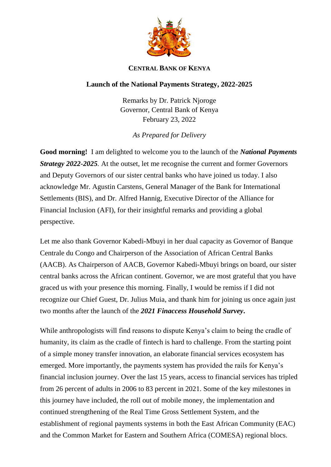

## **CENTRAL BANK OF KENYA**

## **Launch of the National Payments Strategy, 2022-2025**

Remarks by Dr. Patrick Njoroge Governor, Central Bank of Kenya February 23, 2022

*As Prepared for Delivery*

**Good morning!** I am delighted to welcome you to the launch of the *National Payments Strategy 2022-2025.* At the outset, let me recognise the current and former Governors and Deputy Governors of our sister central banks who have joined us today. I also acknowledge Mr. Agustin Carstens, General Manager of the Bank for International Settlements (BIS), and Dr. Alfred Hannig, Executive Director of the Alliance for Financial Inclusion (AFI), for their insightful remarks and providing a global perspective.

Let me also thank Governor Kabedi-Mbuyi in her dual capacity as Governor of Banque Centrale du Congo and Chairperson of the Association of African Central Banks (AACB). As Chairperson of AACB, Governor Kabedi-Mbuyi brings on board, our sister central banks across the African continent. Governor, we are most grateful that you have graced us with your presence this morning. Finally, I would be remiss if I did not recognize our Chief Guest, Dr. Julius Muia, and thank him for joining us once again just two months after the launch of the *2021 Finaccess Household Survey***.**

While anthropologists will find reasons to dispute Kenya's claim to being the cradle of humanity, its claim as the cradle of fintech is hard to challenge. From the starting point of a simple money transfer innovation, an elaborate financial services ecosystem has emerged. More importantly, the payments system has provided the rails for Kenya's financial inclusion journey. Over the last 15 years, access to financial services has tripled from 26 percent of adults in 2006 to 83 percent in 2021. Some of the key milestones in this journey have included, the roll out of mobile money, the implementation and continued strengthening of the Real Time Gross Settlement System, and the establishment of regional payments systems in both the East African Community (EAC) and the Common Market for Eastern and Southern Africa (COMESA) regional blocs.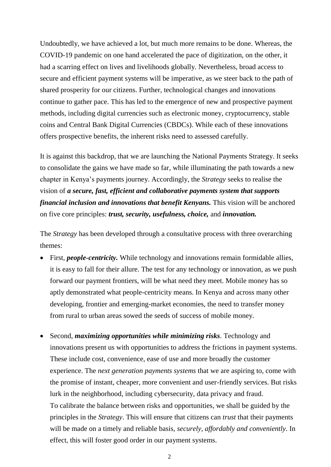Undoubtedly, we have achieved a lot, but much more remains to be done. Whereas, the COVID-19 pandemic on one hand accelerated the pace of digitization, on the other, it had a scarring effect on lives and livelihoods globally. Nevertheless, broad access to secure and efficient payment systems will be imperative, as we steer back to the path of shared prosperity for our citizens. Further, technological changes and innovations continue to gather pace. This has led to the emergence of new and prospective payment methods, including digital currencies such as electronic money, cryptocurrency, stable coins and Central Bank Digital Currencies (CBDCs). While each of these innovations offers prospective benefits, the inherent risks need to assessed carefully.

It is against this backdrop, that we are launching the National Payments Strategy. It seeks to consolidate the gains we have made so far, while illuminating the path towards a new chapter in Kenya's payments journey. Accordingly, the *Strategy* seeks to realise the vision of *a secure, fast, efficient and collaborative payments system that supports financial inclusion and innovations that benefit Kenyans.* This vision will be anchored on five core principles: *trust, security, usefulness, choice,* and *innovation.*

The *Strategy* has been developed through a consultative process with three overarching themes:

- First, *people-centricity*. While technology and innovations remain formidable allies, it is easy to fall for their allure. The test for any technology or innovation, as we push forward our payment frontiers, will be what need they meet. Mobile money has so aptly demonstrated what people-centricity means. In Kenya and across many other developing, frontier and emerging-market economies, the need to transfer money from rural to urban areas sowed the seeds of success of mobile money.
- Second, *maximizing opportunities while minimizing risks*. Technology and innovations present us with opportunities to address the frictions in payment systems. These include cost, convenience, ease of use and more broadly the customer experience. The *next generation payments systems* that we are aspiring to, come with the promise of instant, cheaper, more convenient and user-friendly services. But risks lurk in the neighborhood, including cybersecurity, data privacy and fraud. To calibrate the balance between risks and opportunities, we shall be guided by the principles in the *Strategy*. This will ensure that citizens can *trust* that their payments will be made on a timely and reliable basis, *securely, affordably and conveniently*. In effect, this will foster good order in our payment systems.